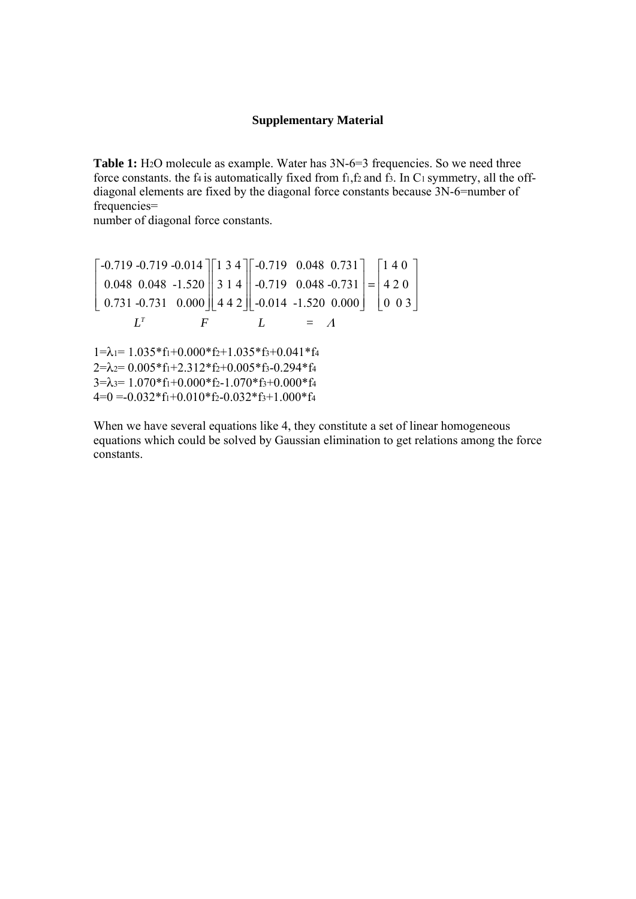## **Supplementary Material**

**Table 1:** H<sub>2</sub>O molecule as example. Water has  $3N-6=3$  frequencies. So we need three force constants, the f4 is automatically fixed from  $f_1, f_2$  and  $f_3$ . In C<sub>1</sub> symmetry, all the offdiagonal elements are fixed by the diagonal force constants because 3N-6=number of frequencies=

number of diagonal force constants.

 $-0.719 - 0.719 - 0.014$   $\begin{bmatrix} 1 & 3 & 4 \end{bmatrix}$   $\begin{bmatrix} -0.719 & 0.048 & 0.731 \end{bmatrix}$   $\begin{bmatrix} 1 & 4 & 0 & 0 \\ 1 & 4 & 0 & 0 \end{bmatrix}$ 0.048 0.048 -1.520 | 3 1 4 | -0.719 0.048 -0.731 | =  $\mid$  4 2 0  $0.731 - 0.731$   $0.000 || 442 || -0.014 -1.520 0.000 || 0 03$  $\vert$  -0.719 -0.719 -0.014  $\vert\vert$  1 3 4  $\vert\vert$  -0.719  $\vert$  0.048 0.731  $\vert\vert$  140  $\vert$  $\vert$  0.048 0.048 -1.520  $\vert$  3 1 4  $\vert$  -0.719 0.048 -0.731  $\vert$  = 4 2 0  $\left[ \begin{array}{ccc} 0.731 & -0.731 & 0.000 \end{array} \right]$   $\left[ \begin{array}{ccc} 4 & 4 & 2 \end{array} \right]$   $\left[ \begin{array}{ccc} -0.014 & -1.520 & 0.000 \end{array} \right]$   $\left[ \begin{array}{ccc} 0 & 0 & 3 \end{array} \right]$  $L^T$  F  $L$  $1=\lambda_1=1.035*f_1+0.000*f_2+1.035*f_3+0.041*f_4$  $2=\lambda_2= 0.005*f_1+2.312*f_2+0.005*f_3-0.294*f_4$  $3=\lambda$ 3= 1.070\*f1+0.000\*f2-1.070\*f3+0.000\*f4  $4=0$  =-0.032\*f<sub>1</sub>+0.010\*f<sub>2</sub>-0.032\*f<sub>3</sub>+1.000\*f<sub>4</sub>

When we have several equations like 4, they constitute a set of linear homogeneous equations which could be solved by Gaussian elimination to get relations among the force constants.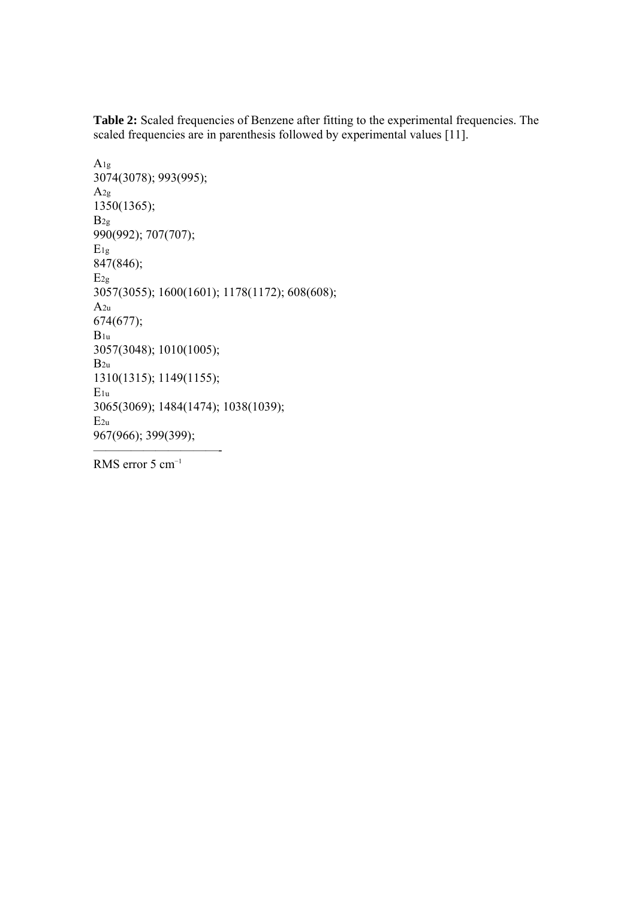**Table 2:** Scaled frequencies of Benzene after fitting to the experimental frequencies. The scaled frequencies are in parenthesis followed by experimental values [11].

```
A1g 
3074(3078); 993(995); 
A2g 
1350(1365); 
B_{2g}990(992); 707(707); 
E1g 
847(846); 
E_{2g}3057(3055); 1600(1601); 1178(1172); 608(608); 
A2u 
674(677); 
B_{1u}3057(3048); 1010(1005); 
B_{2u}1310(1315); 1149(1155); 
E1u 
3065(3069); 1484(1474); 1038(1039); 
E2u 
967(966); 399(399);
```
RMS error 5 cm<sup>-1</sup>

——————————-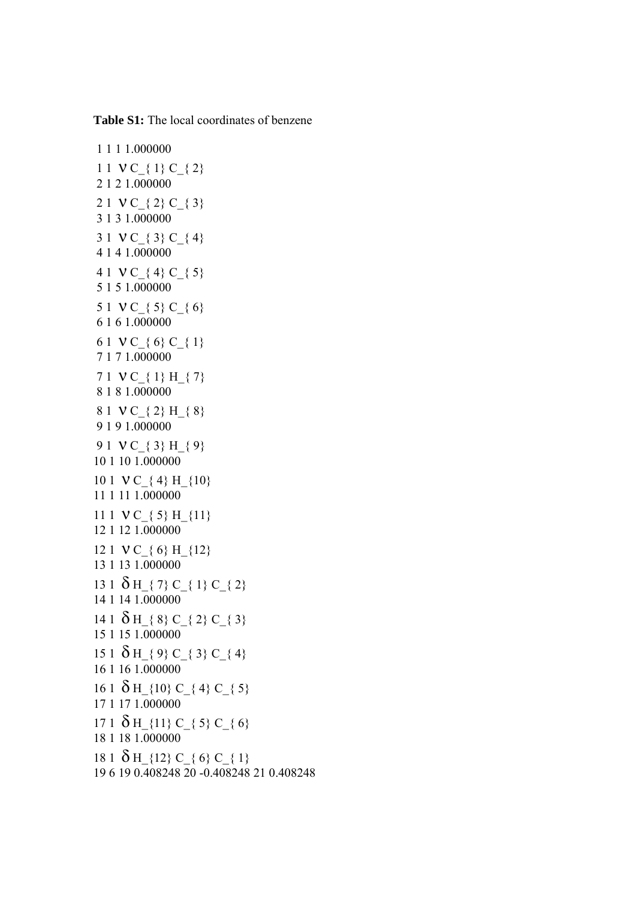1 1 1 1.000000 1 1 V C  $\{ 1\}$  C  $\{ 2\}$  2 1 2 1.000000 2 1  $VC_{8}$  (2)  $C_{8}$  (3) 3 1 3 1.000000 3 1  $VC_{3}$  C<sub>{</sub> 4} 4 1 4 1.000000 4 1 V C  $\{4\}$  C  $\{5\}$ 5 1 5 1 000000 5 1 ν C\_{ 5} C\_{ 6} 6 1 6 1.000000 6 1 ν C\_{ 6} C\_{ 1} 7 1 7 1.000000 7 1  $VC_{4}$  1} H<sub>-</sub>{ 7} 8 1 8 1.000000 8 1 V C { 2} H { 8} 9 1 9 1.000000 9 1 ν C\_{ 3} H\_{ 9} 10 1 10 1.000000 10 1 V C { 4} H {10} 11 1 11 1.000000 11 1  $VC_{5}$  H<sub>{11}</sub> 12 1 12 1.000000 12 1 V C { 6} H {12} 13 1 13 1.000000 13 1  $\delta$  H { 7} C { 1} C { 2} 14 1 14 1.000000 14 1  $\delta$  H  $\{8\}$  C  $\{2\}$  C  $\{3\}$ 15 1 15 1.000000 15 1  $\delta$  H  $\{9\}$  C  $\{3\}$  C  $\{4\}$ 16 1 16 1.000000 16 1  $\delta$  H\_{10} C\_{ 4} C\_{ 5} 17 1 17 1.000000 17 1  $\delta$  H\_{11} C\_{ 5} C\_{ 6} 18 1 18 1.000000 18 1  $\delta$  H {12} C { 6} C { 1} 19 6 19 0.408248 20 -0.408248 21 0.408248

**Table S1:** The local coordinates of benzene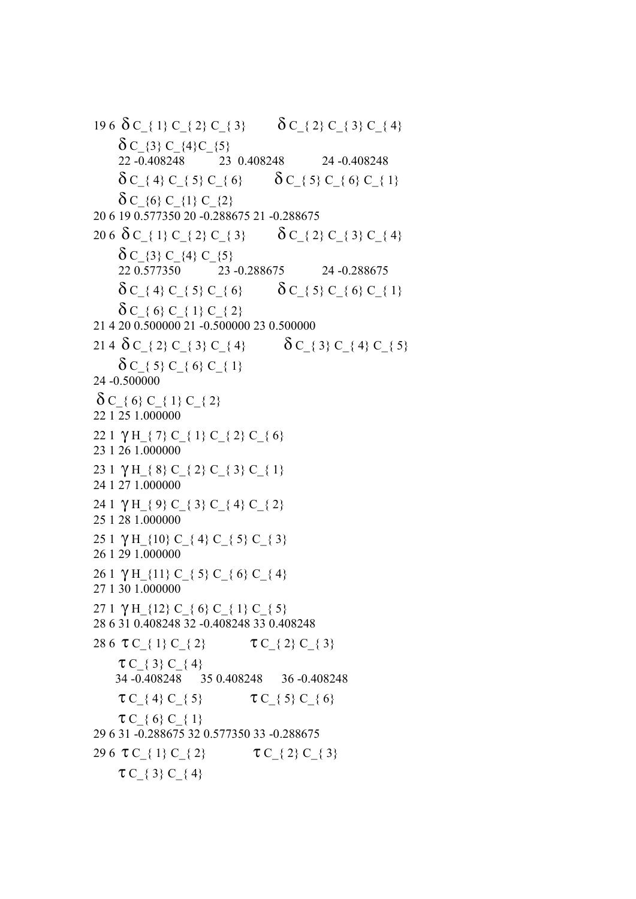19 6  $\delta$  C { 1} C { 2} C { 3}  $\delta$  C { 2} C { 3} C { 4}  $\delta C$  {3} C\_{4}C\_{5} 22 -0.408248 23 0.408248 24 -0.408248  $\delta C$  { 4} C { 5} C { 6}  $\delta C_{-}$  { 5} C\_{ 6} C\_{ 1}  $\delta C_{(6)} C_{(1)} C_{(2)}$ 20 6 19 0.577350 20 -0.288675 21 -0.288675 20 6  $\delta$  C { 1} C { 2} C { 3}  $\delta$  C { 2} C { 3} C { 4}  $\delta C$  {3} C\_{4} C\_{5} 22 0.577350 23 -0.288675 24 -0.288675  $\delta C$  { 4} C { 5} C { 6}  $\delta C_{\text{.}}$  { 5} C\_{ 6} C\_{ 1}  $\delta C_{6}$  (6} C { 1} C { 2} 21 4 20 0.500000 21 -0.500000 23 0.500000 21 4  $\delta$  C\_{ 2} C\_{ 3} C\_{ 4}  $\delta$  C\_{ 3} C\_{ 4} C\_{ 5}  $\delta C_{\frac{1}{2}}$  5} C<sub>\_{</sub> 6} C\_{ 1} 24 -0.500000  $\delta C_{8}$  C\_{ 1} C\_{ 2} 22 1 25 1.000000 22 1  $\gamma$  H<sub>\_</sub>{ 7} C\_{ 1} C\_{ 2} C\_{ 6} 23 1 26 1.000000 23 1  $\gamma$  H<sub>\_</sub>{ 8} C\_{ 2} C\_{ 3} C\_{ 1} 24 1 27 1.000000 24 1 γ H { 9} C { 3} C { 4} C { 2} 25 1 28 1.000000 25 1  $\gamma$  H\_{10} C\_{ 4} C\_{ 5} C\_{ 3} 26 1 29 1.000000 26 1 γ H {11} C { 5} C { 6} C { 4} 27 1 30 1.000000 27 1 γ H\_{12} C\_{ 6} C\_{ 1} C\_{ 5} 28 6 31 0.408248 32 -0.408248 33 0.408248 28 6 τ C  $\{ 1 \}$  C  $\{ 2 \}$  τ C  $\{ 2 \}$  C  $\{ 3 \}$  $TC_{3}$  C { 4} 34 -0.408248 35 0.408248 36 -0.408248  $\tau C_{3}$  (4)  $C_{5}$   $\tau C_{3}$  (5)  $C_{6}$  $\tau C_{8}$  (6}  $C_{8}$  (1} 29 6 31 -0.288675 32 0.577350 33 -0.288675 29 6 τ C  $\{ 1\}$  C  $\{ 2\}$  τ C  $\{ 2\}$  C  $\{ 3\}$  $\tau C_{8}$  { 3}  $C_{8}$  { 4}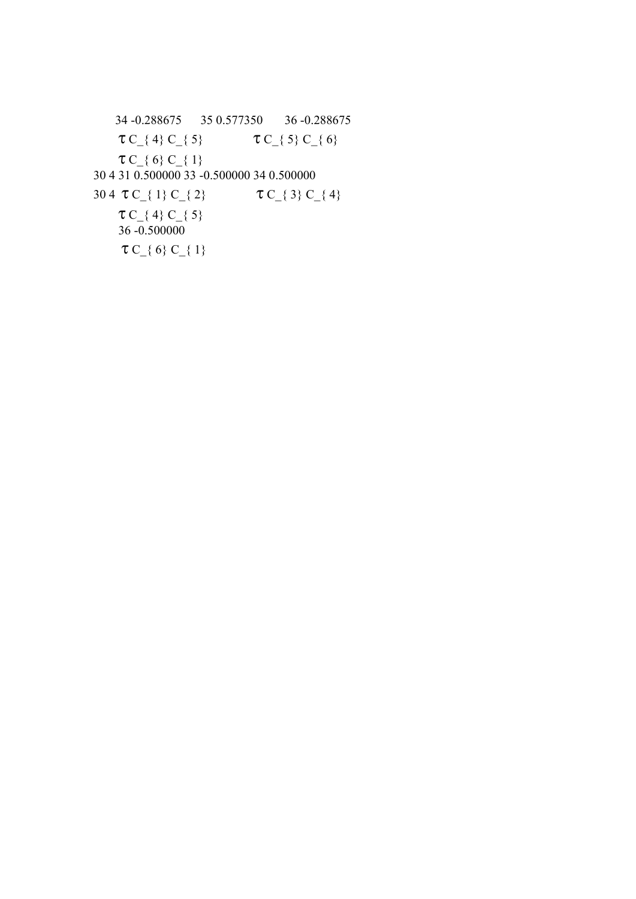34 -0.288675 35 0.577350 36 -0.288675  $\tau C_{1}$  (4)  $C_{2}$  (5)  $\tau C_{2}$  (5)  $C_{3}$  (6)  $\tau C_{8}$  C<sub>-</sub>{ 1} 30 4 31 0.500000 33 -0.500000 34 0.500000 30 4  $\tau C_{1}$  C\_{ 1} C\_{ 2}  $\tau C_{3}$  C\_{ 3} C\_{ 4}  $\tau C_{\text{4}}$  (4)  $C_{\text{5}}$  $36 - 0.500000$  $\tau C_{8}$  C\_{ 1}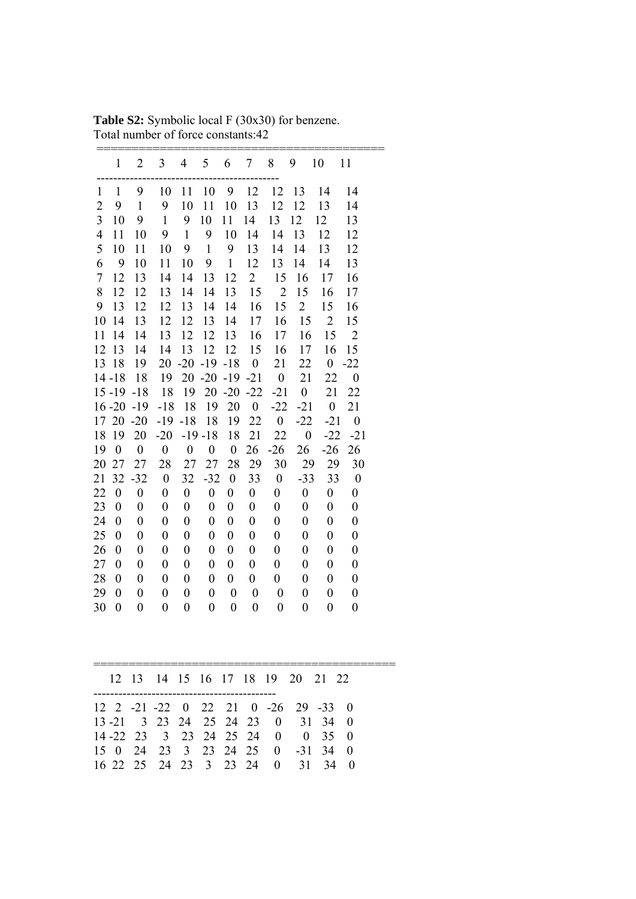|                          | $\mathbf 1$      | $\overline{2}$   | $\overline{\mathbf{3}}$ | $\overline{4}$   | 5                | 6                | 7                | 8                       | 9                       | 10               | 11               |  |
|--------------------------|------------------|------------------|-------------------------|------------------|------------------|------------------|------------------|-------------------------|-------------------------|------------------|------------------|--|
| $\mathbf{1}$             | $\mathbf{1}$     | 9                | 10                      | 11               | 10               | 9                | 12               | 12                      | 13                      | 14               | 14               |  |
| $\overline{2}$           | 9                | $\mathbf{1}$     | 9                       | 10               | 11               | 10               | 13               | 12                      | 12                      | 13               | 14               |  |
| 3                        | 10               | 9                | $\mathbf{1}$            | 9                | 10               | 11               | 14               | 13                      | 12                      | 12               | 13               |  |
| $\overline{\mathcal{A}}$ | 11               | 10               | 9                       | $\mathbf{1}$     | 9                | 10               | 14               | 14                      | 13                      | 12               | 12               |  |
| 5                        | 10               | 11               | 10                      | 9                | $\mathbf{1}$     | 9                | 13               | 14                      | 14                      | 13               | 12               |  |
| 6                        | 9                | 10               | 11                      | 10               | 9                | $\mathbf{1}$     | 12               | 13                      | 14                      | 14               | 13               |  |
| $\sqrt{ }$               | 12               | 13               | 14                      | 14               | 13               | 12               | $\overline{2}$   | 15                      | 16                      | 17               | 16               |  |
| 8                        | 12               | 12               | 13                      | 14               | 14               | 13               | 15               | $\overline{2}$          | 15                      | 16               | 17               |  |
| 9                        | 13               | 12               | 12                      | 13               | 14               | 14               | 16               | 15                      | $\overline{2}$          | 15               | 16               |  |
| 10                       | 14               | 13               | 12                      | 12               | 13               | 14               | 17               | 16                      | 15                      | $\overline{2}$   | 15               |  |
| 11                       | 14               | 14               | 13                      | 12               | 12               | 13               | 16               | 17                      | 16                      | 15               | $\overline{2}$   |  |
| 12                       | 13               | 14               | 14                      | 13               | 12               | 12               | 15               | 16                      | 17                      | 16               | 15               |  |
| 13                       | 18               | 19               | 20                      | $-20$            | $-19$            | $-18$            | $\overline{0}$   | 21                      | 22                      | $\boldsymbol{0}$ | $-22$            |  |
|                          | $14 - 18$        | 18               | 19                      | 20               | $-20$            | $-19 - 21$       |                  | $\overline{\mathbf{0}}$ | 21                      | 22               | $\overline{0}$   |  |
|                          |                  | $15 - 19 - 18$   | 18                      | 19               | 20               | $-20$            | $-22$            | $-21$                   | $\overline{0}$          | 21               | 22               |  |
|                          | $16 - 20$        | $-19$            | $-18$                   | 18               | 19               | 20               | $\overline{0}$   | $-22$                   | $-21$                   | $\overline{0}$   | 21               |  |
|                          |                  | 17 20 -20        | $-19$                   | $-18$            | 18               | 19               | 22               | $\overline{0}$          | $-22$                   | $-21$            | $\overline{0}$   |  |
| 18                       | 19               | 20               | $-20$                   |                  | $-19 - 18$       | 18               | 21               | 22                      | $\overline{\mathbf{0}}$ | $-22$            | $-21$            |  |
| 19                       | $\boldsymbol{0}$ | $\mathbf{0}$     | $\overline{0}$          | $\overline{0}$   | $\boldsymbol{0}$ | $\boldsymbol{0}$ | 26               | $-26$                   | 26                      | $-26$            | 26               |  |
| 20                       | 27               | 27               | 28                      | 27               | 27               | 28               | 29               | 30                      | 29                      | 29               | 30               |  |
| 21                       | 32               | $-32$            | $\overline{0}$          | 32               | $-32$            | $\boldsymbol{0}$ | 33               | $\overline{0}$          | $-33$                   | 33               | $\overline{0}$   |  |
| 22                       | $\boldsymbol{0}$ | $\boldsymbol{0}$ | $\boldsymbol{0}$        | $\boldsymbol{0}$ | $\boldsymbol{0}$ | $\boldsymbol{0}$ | $\boldsymbol{0}$ | $\boldsymbol{0}$        | $\boldsymbol{0}$        | $\boldsymbol{0}$ | $\boldsymbol{0}$ |  |
| 23                       | $\mathbf{0}$     | $\boldsymbol{0}$ | $\boldsymbol{0}$        | $\boldsymbol{0}$ | $\boldsymbol{0}$ | $\boldsymbol{0}$ | $\boldsymbol{0}$ | $\boldsymbol{0}$        | $\boldsymbol{0}$        | $\boldsymbol{0}$ | $\boldsymbol{0}$ |  |
| 24                       | $\boldsymbol{0}$ | $\boldsymbol{0}$ | $\boldsymbol{0}$        | $\boldsymbol{0}$ | $\boldsymbol{0}$ | $\boldsymbol{0}$ | $\boldsymbol{0}$ | $\boldsymbol{0}$        | $\boldsymbol{0}$        | $\boldsymbol{0}$ | $\boldsymbol{0}$ |  |
| 25                       | $\overline{0}$   | $\boldsymbol{0}$ | $\boldsymbol{0}$        | $\boldsymbol{0}$ | $\boldsymbol{0}$ | $\boldsymbol{0}$ | $\boldsymbol{0}$ | $\boldsymbol{0}$        | $\boldsymbol{0}$        | $\overline{0}$   | $\boldsymbol{0}$ |  |
| 26                       | $\boldsymbol{0}$ | $\boldsymbol{0}$ | $\boldsymbol{0}$        | $\boldsymbol{0}$ | $\boldsymbol{0}$ | $\boldsymbol{0}$ | $\boldsymbol{0}$ | $\boldsymbol{0}$        | $\boldsymbol{0}$        | $\boldsymbol{0}$ | $\boldsymbol{0}$ |  |
| 27                       | $\boldsymbol{0}$ | $\boldsymbol{0}$ | $\boldsymbol{0}$        | $\boldsymbol{0}$ | $\boldsymbol{0}$ | $\boldsymbol{0}$ | $\boldsymbol{0}$ | $\boldsymbol{0}$        | $\boldsymbol{0}$        | $\boldsymbol{0}$ | $\boldsymbol{0}$ |  |
| 28                       | $\boldsymbol{0}$ | $\boldsymbol{0}$ | $\boldsymbol{0}$        | $\boldsymbol{0}$ | $\boldsymbol{0}$ | $\boldsymbol{0}$ | $\boldsymbol{0}$ | $\boldsymbol{0}$        | $\boldsymbol{0}$        | $\boldsymbol{0}$ | $\boldsymbol{0}$ |  |
| 29                       | $\boldsymbol{0}$ | $\boldsymbol{0}$ | $\boldsymbol{0}$        | $\boldsymbol{0}$ | $\boldsymbol{0}$ | $\boldsymbol{0}$ | $\boldsymbol{0}$ | $\boldsymbol{0}$        | $\boldsymbol{0}$        | $\boldsymbol{0}$ | $\boldsymbol{0}$ |  |
| 30                       | $\mathbf{0}$     | $\overline{0}$   | $\overline{0}$          | $\overline{0}$   | $\mathbf{0}$     | $\overline{0}$   | $\boldsymbol{0}$ | $\overline{0}$          | $\overline{0}$          | $\overline{0}$   | $\overline{0}$   |  |
|                          |                  |                  |                         |                  |                  |                  |                  |                         |                         |                  |                  |  |
|                          | 12               | 13               | 14                      | 15               | 16               | 17 18            |                  | 19                      | 20                      | 21               | 22               |  |

Table S2: Symbolic local F (30x30) for benzene. Total number of force constants:42

|  |  |  |  | 12 13 14 15 16 17 18 19 20 21 22    |  |  |
|--|--|--|--|-------------------------------------|--|--|
|  |  |  |  | 12 2 -21 -22 0 22 21 0 -26 29 -33 0 |  |  |
|  |  |  |  | 13 -21 3 23 24 25 24 23 0 31 34 0   |  |  |
|  |  |  |  | 14 - 22 23 3 23 24 25 24 0 0 35 0   |  |  |
|  |  |  |  | 15 0 24 23 3 23 24 25 0 -31 34 0    |  |  |
|  |  |  |  | 16 22 25 24 23 3 23 24 0 31 34 0    |  |  |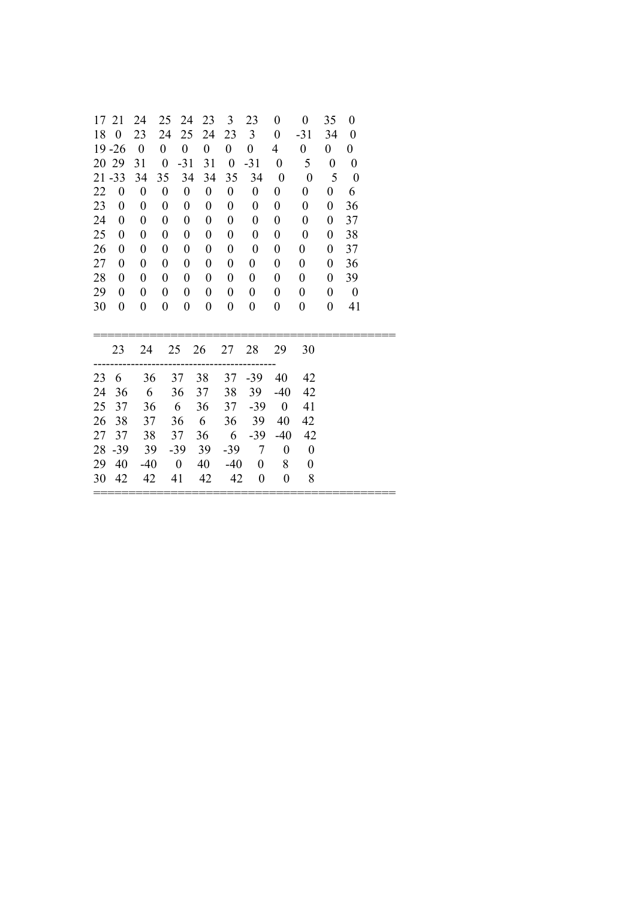|    | 17 21            | 24                      | 25               | 24                       | 23               | $\mathfrak{Z}$   | 23                       | $\boldsymbol{0}$         | $\overline{0}$           | 35               | 0                        |  |
|----|------------------|-------------------------|------------------|--------------------------|------------------|------------------|--------------------------|--------------------------|--------------------------|------------------|--------------------------|--|
|    | 18 0             | 23                      | 24               | 25                       | 24               | 23               | $\overline{3}$           | $\mathbf{0}$             | $-31$                    | 34               | $\overline{\phantom{0}}$ |  |
|    | $19 - 26$        | $\overline{\mathbf{0}}$ | $\boldsymbol{0}$ | $\overline{0}$           | $\boldsymbol{0}$ | $\boldsymbol{0}$ | $\overline{0}$           | $\overline{4}$           | $\mathbf{0}$             | $\mathbf{0}$     | $\overline{0}$           |  |
|    | 20 29            | 31                      | $\overline{0}$   | $-31$                    | 31               | $\overline{0}$   | $-31$                    | $\overline{0}$           | 5                        | $\boldsymbol{0}$ | $\boldsymbol{0}$         |  |
|    | $21 - 33$        | 34                      | 35               | 34                       | 34               | 35               | 34                       | $\overline{\phantom{0}}$ | $\overline{\phantom{0}}$ | 5                | $\boldsymbol{0}$         |  |
| 22 | $\bf{0}$         | $\boldsymbol{0}$        | $\boldsymbol{0}$ | $\boldsymbol{0}$         | $\boldsymbol{0}$ | $\boldsymbol{0}$ | $\boldsymbol{0}$         | $\boldsymbol{0}$         | $\boldsymbol{0}$         | $\boldsymbol{0}$ | 6                        |  |
| 23 | $\theta$         | $\boldsymbol{0}$        | $\boldsymbol{0}$ | $\boldsymbol{0}$         | $\boldsymbol{0}$ | $\boldsymbol{0}$ | $\boldsymbol{0}$         | $\boldsymbol{0}$         | $\boldsymbol{0}$         | $\boldsymbol{0}$ | 36                       |  |
| 24 | $\boldsymbol{0}$ | $\boldsymbol{0}$        | $\boldsymbol{0}$ | $\boldsymbol{0}$         | $\boldsymbol{0}$ | $\boldsymbol{0}$ | $\boldsymbol{0}$         | $\boldsymbol{0}$         | $\boldsymbol{0}$         | $\boldsymbol{0}$ | 37                       |  |
| 25 | $\theta$         | 0                       | $\boldsymbol{0}$ | $\boldsymbol{0}$         | $\boldsymbol{0}$ | $\boldsymbol{0}$ | $\boldsymbol{0}$         | $\boldsymbol{0}$         | $\boldsymbol{0}$         | $\boldsymbol{0}$ | 38                       |  |
| 26 | $\boldsymbol{0}$ | 0                       | $\boldsymbol{0}$ | $\boldsymbol{0}$         | $\boldsymbol{0}$ | 0                | $\boldsymbol{0}$         | $\boldsymbol{0}$         | $\boldsymbol{0}$         | $\boldsymbol{0}$ | 37                       |  |
| 27 | $\boldsymbol{0}$ | $\boldsymbol{0}$        | $\boldsymbol{0}$ | $\boldsymbol{0}$         | $\boldsymbol{0}$ | $\boldsymbol{0}$ | $\boldsymbol{0}$         | $\boldsymbol{0}$         | $\boldsymbol{0}$         | $\boldsymbol{0}$ | 36                       |  |
| 28 | $\boldsymbol{0}$ | $\boldsymbol{0}$        | $\boldsymbol{0}$ | $\boldsymbol{0}$         | 0                | $\boldsymbol{0}$ | $\boldsymbol{0}$         | $\boldsymbol{0}$         | $\boldsymbol{0}$         | $\boldsymbol{0}$ | 39                       |  |
| 29 | $\boldsymbol{0}$ | $\boldsymbol{0}$        | $\boldsymbol{0}$ | $\boldsymbol{0}$         | $\boldsymbol{0}$ | $\boldsymbol{0}$ | $\boldsymbol{0}$         | $\boldsymbol{0}$         | $\boldsymbol{0}$         | $\boldsymbol{0}$ | $\overline{\phantom{0}}$ |  |
| 30 | $\boldsymbol{0}$ | $\boldsymbol{0}$        | $\boldsymbol{0}$ | $\boldsymbol{0}$         | $\boldsymbol{0}$ | $\boldsymbol{0}$ | $\boldsymbol{0}$         | $\boldsymbol{0}$         | 0                        | $\boldsymbol{0}$ | 41                       |  |
|    |                  |                         |                  |                          |                  |                  |                          |                          |                          |                  |                          |  |
|    |                  |                         |                  |                          |                  |                  |                          |                          |                          |                  |                          |  |
|    | 23               | 24                      |                  |                          | 25 26            | 27               | 28                       | 29                       | 30                       |                  |                          |  |
|    | 23 6             | 36                      |                  | 37                       | 38               | 37               | $-39$                    | 40                       | 42                       |                  |                          |  |
| 24 | 36               | 6                       |                  | 36                       | 37               | 38               | 39                       | $-40$                    | 42                       |                  |                          |  |
| 25 | 37               | 36                      |                  | 6                        | 36               | 37               | $-39$                    | $\overline{\phantom{0}}$ | 41                       |                  |                          |  |
| 26 | 38               | 37                      |                  | 36                       | 6                | 36               | 39                       | 40                       | 42                       |                  |                          |  |
| 27 | 37               | 38                      |                  | 37                       | 36               | $6\overline{6}$  | $-39$                    | $-40$                    | 42                       |                  |                          |  |
| 28 | $-39$            | 39                      |                  | $-39$                    | 39               | $-39$            | $\overline{7}$           | $\boldsymbol{0}$         | $\boldsymbol{0}$         |                  |                          |  |
| 29 | 40               | $-40$                   |                  | $\overline{\phantom{0}}$ | 40               | $-40$            | $\overline{\phantom{0}}$ | 8                        | $\boldsymbol{0}$         |                  |                          |  |
|    | 30 42            | 42                      |                  | 41                       | 42               |                  | 42 0                     | $\boldsymbol{0}$         | 8                        |                  |                          |  |
|    |                  |                         |                  |                          |                  |                  |                          |                          |                          |                  |                          |  |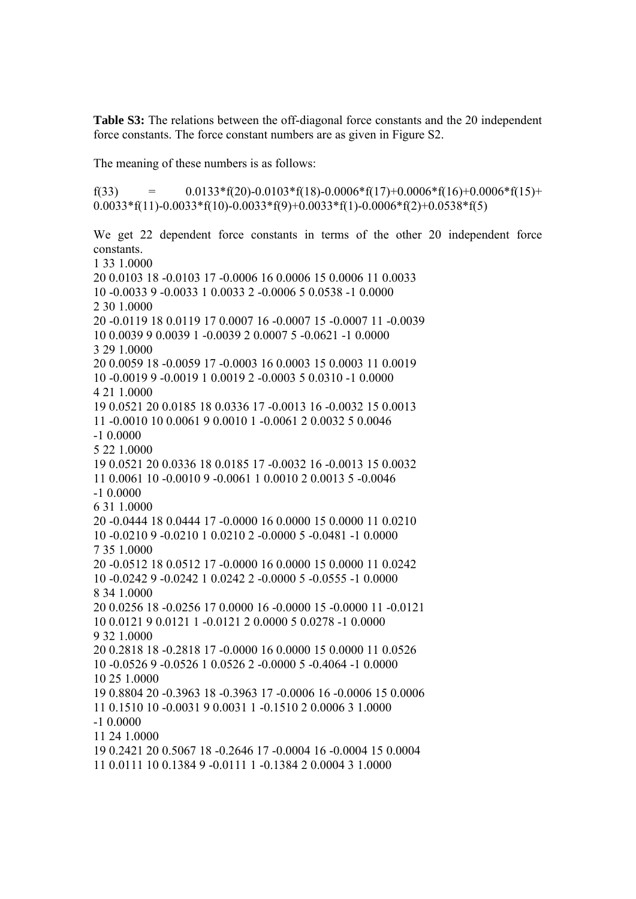**Table S3:** The relations between the off-diagonal force constants and the 20 independent force constants. The force constant numbers are as given in Figure S2.

The meaning of these numbers is as follows:

f(33) =  $0.0133 * f(20) - 0.0103 * f(18) - 0.0006 * f(17) + 0.0006 * f(16) + 0.0006 * f(15) +$  $0.0033*f(11)-0.0033*f(10)-0.0033*f(9)+0.0033*f(1)-0.0006*f(2)+0.0538*f(5)$ 

We get 22 dependent force constants in terms of the other 20 independent force constants. 1 33 1.0000 20 0.0103 18 -0.0103 17 -0.0006 16 0.0006 15 0.0006 11 0.0033 10 -0.0033 9 -0.0033 1 0.0033 2 -0.0006 5 0.0538 -1 0.0000 2 30 1.0000 20 -0.0119 18 0.0119 17 0.0007 16 -0.0007 15 -0.0007 11 -0.0039 10 0.0039 9 0.0039 1 -0.0039 2 0.0007 5 -0.0621 -1 0.0000 3 29 1.0000 20 0.0059 18 -0.0059 17 -0.0003 16 0.0003 15 0.0003 11 0.0019 10 -0.0019 9 -0.0019 1 0.0019 2 -0.0003 5 0.0310 -1 0.0000 4 21 1.0000 19 0.0521 20 0.0185 18 0.0336 17 -0.0013 16 -0.0032 15 0.0013 11 -0.0010 10 0.0061 9 0.0010 1 -0.0061 2 0.0032 5 0.0046 -1 0.0000 5 22 1.0000 19 0.0521 20 0.0336 18 0.0185 17 -0.0032 16 -0.0013 15 0.0032 11 0.0061 10 -0.0010 9 -0.0061 1 0.0010 2 0.0013 5 -0.0046 -1 0.0000 6 31 1.0000 20 -0.0444 18 0.0444 17 -0.0000 16 0.0000 15 0.0000 11 0.0210 10 -0.0210 9 -0.0210 1 0.0210 2 -0.0000 5 -0.0481 -1 0.0000 7 35 1.0000 20 -0.0512 18 0.0512 17 -0.0000 16 0.0000 15 0.0000 11 0.0242 10 -0.0242 9 -0.0242 1 0.0242 2 -0.0000 5 -0.0555 -1 0.0000 8 34 1.0000 20 0.0256 18 -0.0256 17 0.0000 16 -0.0000 15 -0.0000 11 -0.0121 10 0.0121 9 0.0121 1 -0.0121 2 0.0000 5 0.0278 -1 0.0000 9 32 1.0000 20 0.2818 18 -0.2818 17 -0.0000 16 0.0000 15 0.0000 11 0.0526 10 -0.0526 9 -0.0526 1 0.0526 2 -0.0000 5 -0.4064 -1 0.0000 10 25 1.0000 19 0.8804 20 -0.3963 18 -0.3963 17 -0.0006 16 -0.0006 15 0.0006 11 0.1510 10 -0.0031 9 0.0031 1 -0.1510 2 0.0006 3 1.0000 -1 0.0000 11 24 1.0000 19 0.2421 20 0.5067 18 -0.2646 17 -0.0004 16 -0.0004 15 0.0004 11 0.0111 10 0.1384 9 -0.0111 1 -0.1384 2 0.0004 3 1.0000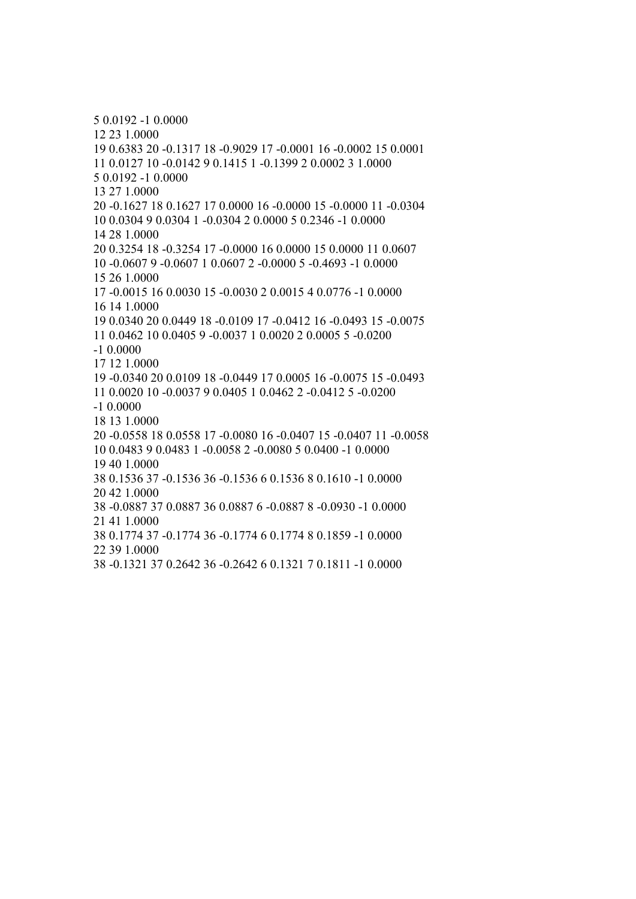5 0.0192 -1 0.0000 12 23 1.0000 19 0.6383 20 -0.1317 18 -0.9029 17 -0.0001 16 -0.0002 15 0.0001 11 0.0127 10 -0.0142 9 0.1415 1 -0.1399 2 0.0002 3 1.0000 5 0.0192 -1 0.0000 13 27 1.0000 20 -0.1627 18 0.1627 17 0.0000 16 -0.0000 15 -0.0000 11 -0.0304 10 0.0304 9 0.0304 1 -0.0304 2 0.0000 5 0.2346 -1 0.0000 14 28 1.0000 20 0.3254 18 -0.3254 17 -0.0000 16 0.0000 15 0.0000 11 0.0607 10 -0.0607 9 -0.0607 1 0.0607 2 -0.0000 5 -0.4693 -1 0.0000 15 26 1.0000 17 -0.0015 16 0.0030 15 -0.0030 2 0.0015 4 0.0776 -1 0.0000 16 14 1.0000 19 0.0340 20 0.0449 18 -0.0109 17 -0.0412 16 -0.0493 15 -0.0075 11 0.0462 10 0.0405 9 -0.0037 1 0.0020 2 0.0005 5 -0.0200 -1 0.0000 17 12 1.0000 19 -0.0340 20 0.0109 18 -0.0449 17 0.0005 16 -0.0075 15 -0.0493 11 0.0020 10 -0.0037 9 0.0405 1 0.0462 2 -0.0412 5 -0.0200 -1 0.0000 18 13 1.0000 20 -0.0558 18 0.0558 17 -0.0080 16 -0.0407 15 -0.0407 11 -0.0058 10 0.0483 9 0.0483 1 -0.0058 2 -0.0080 5 0.0400 -1 0.0000 19 40 1.0000 38 0.1536 37 -0.1536 36 -0.1536 6 0.1536 8 0.1610 -1 0.0000 20 42 1.0000 38 -0.0887 37 0.0887 36 0.0887 6 -0.0887 8 -0.0930 -1 0.0000 21 41 1.0000 38 0.1774 37 -0.1774 36 -0.1774 6 0.1774 8 0.1859 -1 0.0000 22 39 1.0000 38 -0.1321 37 0.2642 36 -0.2642 6 0.1321 7 0.1811 -1 0.0000